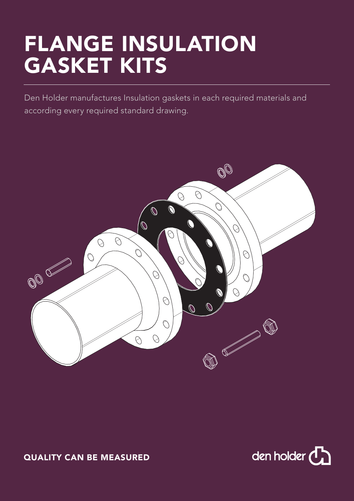# FLANGE INSULATION GASKET KITS

Den Holder manufactures Insulation gaskets in each required materials and according every required standard drawing.



## QUALITY CAN BE MEASURED

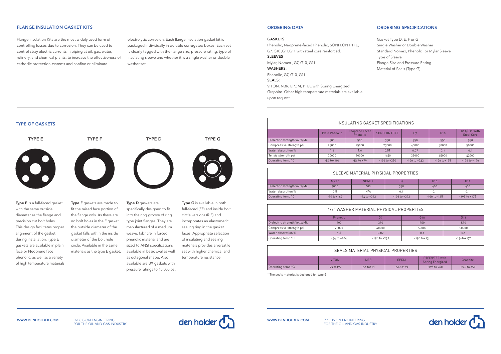#### TYPE OF GASKETS

with the same outside diameter as the flange and precision cut bolt holes. This design facilitates proper alignment of the gasket during installation. Type E gaskets are available in plain face or Neoprene face phenolic, as well as a variety of high temperature materials. fit the raised face portion of the flange only. As there are no bolt holes in the F gasket, the outside diameter of the gasket falls within the inside diameter of the bolt hole circle. Available in the same materials as the type E gasket.

PRECISION ENGINEERING FOR THE OIL AND GAS INDUSTRY





specifically designed to fit into the ring groove of ring type joint flanges. They are manufactured of a medium weave, fabricre in forced phenolic material and are sized to ANSI specifications available in basic oval as well as octagonal shape. Also available are BX gaskets with pressure ratings to 15,000 psi. full-faced (FF) and inside bolt circle versions (R F) and incorporates an elastomeric sealing ring in the gasket faces. Appropriate selection of insulating and sealing materials provides a versatile set with higher chemical and temperature resistance.

WWW.DENHOLDER.COM

### FLANGE INSULATION GASKET KITS

Flange lnsulation Kits are the most widely used form of controlling losses due to corrosion. They can be used to control stray electric currents in piping at oil, gas, water, refinery, and chemical plants, to increase the effectiveness of cathodic protection systems and confine or eliminate

electrolytic corrosion. Each flange insulation gasket kit is packaged individually in durable corrugated boxes. Each set is clearly tagged with the flange size, pressure rating, type of insulating sleeve and whether it is a single washer or double washer set.

| INSULATING GASKET SPECIFICATIONS |                       |                                   |                  |                  |                  |                                   |
|----------------------------------|-----------------------|-----------------------------------|------------------|------------------|------------------|-----------------------------------|
|                                  | <b>Plain Phenolic</b> | Neoprene Faced<br><b>Phenolic</b> | SONFLON PTFE     | G <sub>7</sub>   | G <sub>10</sub>  | G11/G11 With<br><b>Steel Core</b> |
| Dielectric strength Volts/Mii    | 500                   | 500                               | 350              | 350              | 550              | 550                               |
| Compressive strength psi         | 25000                 | 25000                             | 23000            | 40000            | 50000            | 50000                             |
| Water absorption %               | 1.6                   | 1.6                               | 0.01             | 0.07             | 0.1              | 0.1                               |
| Tensie strength psi              | 20000                 | 20000                             | 1450             | 25000            | 45000            | 43000                             |
| Operating temp °C                | $-54$ to $+104$       | $-54$ to $+79$                    | $-196$ to $+260$ | $-196$ to $+232$ | $-196$ to $+138$ | $-196$ to $+176$                  |

## SLEEVE MATERIAL PHYSICAL PROPERTIES

|                               | Mylar           | <b>NOMEX</b>    | G7               | G <sub>10</sub>  | G1'              |
|-------------------------------|-----------------|-----------------|------------------|------------------|------------------|
| Dielectric strength Volts/Mil | 4000            | 400             | 350              | 400              | 400              |
| Water absorption %            | 0.8             | N/A             | 0.1              | 0.1              | 0.1              |
| Operating temp °C             | $-59$ to $+149$ | $-54$ to $+232$ | $-196$ to $+232$ | $-196$ to $+138$ | $-196$ to $+176$ |

| SEALS MATERIAL PHYSICAL PROPERTIES |              |              |                |                                    |                 |
|------------------------------------|--------------|--------------|----------------|------------------------------------|-----------------|
|                                    | <b>VITON</b> | <b>NBR</b>   | <b>EPDM</b>    | PTFE/PTFE with<br>Spring Energized | Graphite        |
| Operating temp °C                  | $-29$ to 177 | $-54$ to 121 | $-54$ to $149$ | $-196$ to 260                      | $-240$ to $450$ |

\* The seals material is designed for type G

| 1/8" WASHER MATERIAL PHYSICAL PROPERTIES |                 |                  |                  |                  |
|------------------------------------------|-----------------|------------------|------------------|------------------|
|                                          | Phenolic        | G7               | G10              | G11              |
| Dielectric strength Volts/Mil            | 500             | 350              | 550              | 550              |
| Compressive strength psi                 | 25000           | 40000            | 50000            | 50000            |
| Water absorption %                       | 1.6             | 0.07             | 0.1              | 0.1              |
| Operating temp °C                        | $-54$ to $+104$ | $-196$ to $+232$ | $-196$ to $+138$ | $-196$ to $+176$ |

#### ORDERING DATA

| GASKET |  |
|--------|--|
|--------|--|

| Phenolic, Neoprene-faced Phenolic, SONFLON PTFE,         |
|----------------------------------------------------------|
| G7, G10, G11, G11 with steel core reinforced.            |
| <b>SLEEVES</b>                                           |
| Mylar, Nomex , G7, G10, G11                              |
| <b>WASHERS:</b>                                          |
| Phenolic, G7, G10, G11                                   |
| <b>SEALS:</b>                                            |
| VITON, NBR, EPDM, PTEE with Spring Energized,            |
| Graphite. Other high temperature materials are available |

upon request.

## ORDERING SPECIFICATIONS

- Gasket Type D, E, F or G
- Single Washer or Double Washer
- Standard Nomex, Phenolic, or Mylar Sleeve
- Type of Sleeve
- Flange Size and Pressure Rating
- Material of Seals (Type G)